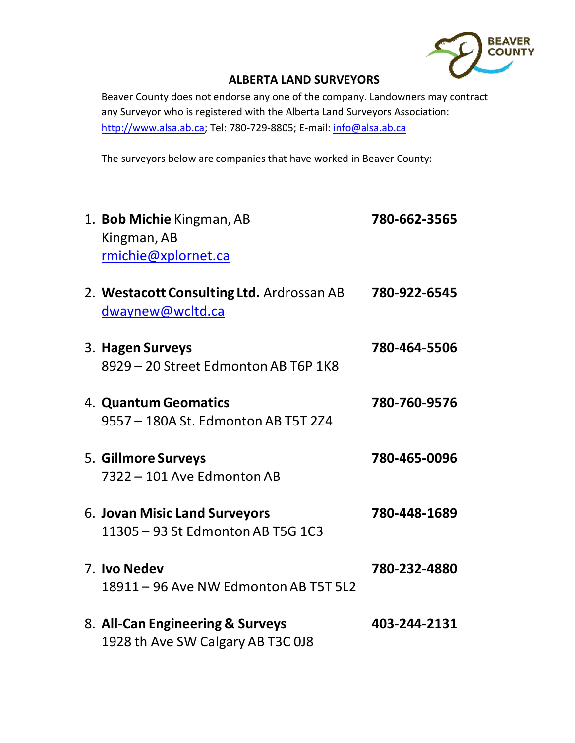

## **ALBERTA LAND SURVEYORS**

Beaver County does not endorse any one of the company. Landowners may contract any Surveyor who is registered with the Alberta Land Surveyors Association: http://www.alsa.ab.ca; Tel: 780-729-8805; E-mail: info@alsa.ab.ca

The surveyors below are companies that have worked in Beaver County:

| 1. Bob Michie Kingman, AB<br>Kingman, AB<br>rmichie@xplornet.ca       | 780-662-3565 |
|-----------------------------------------------------------------------|--------------|
| 2. Westacott Consulting Ltd. Ardrossan AB<br>dwaynew@wcltd.ca         | 780-922-6545 |
| 3. Hagen Surveys<br>8929 - 20 Street Edmonton AB T6P 1K8              | 780-464-5506 |
| 4. Quantum Geomatics<br>9557 - 180A St. Edmonton AB T5T 2Z4           | 780-760-9576 |
| 5. Gillmore Surveys<br>7322 - 101 Ave Edmonton AB                     | 780-465-0096 |
| 6. Jovan Misic Land Surveyors<br>11305 - 93 St Edmonton AB T5G 1C3    | 780-448-1689 |
| 7. Ivo Nedev<br>18911 - 96 Ave NW Edmonton AB T5T 5L2                 | 780-232-4880 |
| 8. All-Can Engineering & Surveys<br>1928 th Ave SW Calgary AB T3C 0J8 | 403-244-2131 |